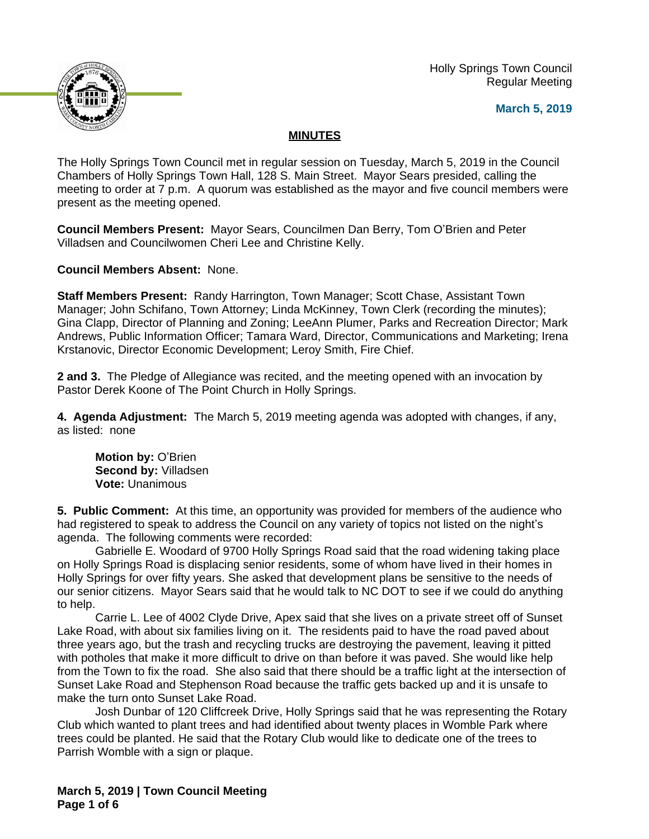

 Holly Springs Town Council Regular Meeting

**March 5, 2019**

# **MINUTES**

The Holly Springs Town Council met in regular session on Tuesday, March 5, 2019 in the Council Chambers of Holly Springs Town Hall, 128 S. Main Street. Mayor Sears presided, calling the meeting to order at 7 p.m. A quorum was established as the mayor and five council members were present as the meeting opened.

**Council Members Present:** Mayor Sears, Councilmen Dan Berry, Tom O'Brien and Peter Villadsen and Councilwomen Cheri Lee and Christine Kelly.

**Council Members Absent:** None.

**Staff Members Present:** Randy Harrington, Town Manager; Scott Chase, Assistant Town Manager; John Schifano, Town Attorney; Linda McKinney, Town Clerk (recording the minutes); Gina Clapp, Director of Planning and Zoning; LeeAnn Plumer, Parks and Recreation Director; Mark Andrews, Public Information Officer; Tamara Ward, Director, Communications and Marketing; Irena Krstanovic, Director Economic Development; Leroy Smith, Fire Chief.

**2 and 3.** The Pledge of Allegiance was recited, and the meeting opened with an invocation by Pastor Derek Koone of The Point Church in Holly Springs.

**4. Agenda Adjustment:** The March 5, 2019 meeting agenda was adopted with changes, if any, as listed: none

**Motion by:** O'Brien **Second by:** Villadsen **Vote:** Unanimous

**5. Public Comment:** At this time, an opportunity was provided for members of the audience who had registered to speak to address the Council on any variety of topics not listed on the night's agenda. The following comments were recorded:

Gabrielle E. Woodard of 9700 Holly Springs Road said that the road widening taking place on Holly Springs Road is displacing senior residents, some of whom have lived in their homes in Holly Springs for over fifty years. She asked that development plans be sensitive to the needs of our senior citizens. Mayor Sears said that he would talk to NC DOT to see if we could do anything to help.

Carrie L. Lee of 4002 Clyde Drive, Apex said that she lives on a private street off of Sunset Lake Road, with about six families living on it. The residents paid to have the road paved about three years ago, but the trash and recycling trucks are destroying the pavement, leaving it pitted with potholes that make it more difficult to drive on than before it was paved. She would like help from the Town to fix the road. She also said that there should be a traffic light at the intersection of Sunset Lake Road and Stephenson Road because the traffic gets backed up and it is unsafe to make the turn onto Sunset Lake Road.

Josh Dunbar of 120 Cliffcreek Drive, Holly Springs said that he was representing the Rotary Club which wanted to plant trees and had identified about twenty places in Womble Park where trees could be planted. He said that the Rotary Club would like to dedicate one of the trees to Parrish Womble with a sign or plaque.

**March 5, 2019 | Town Council Meeting Page 1 of 6**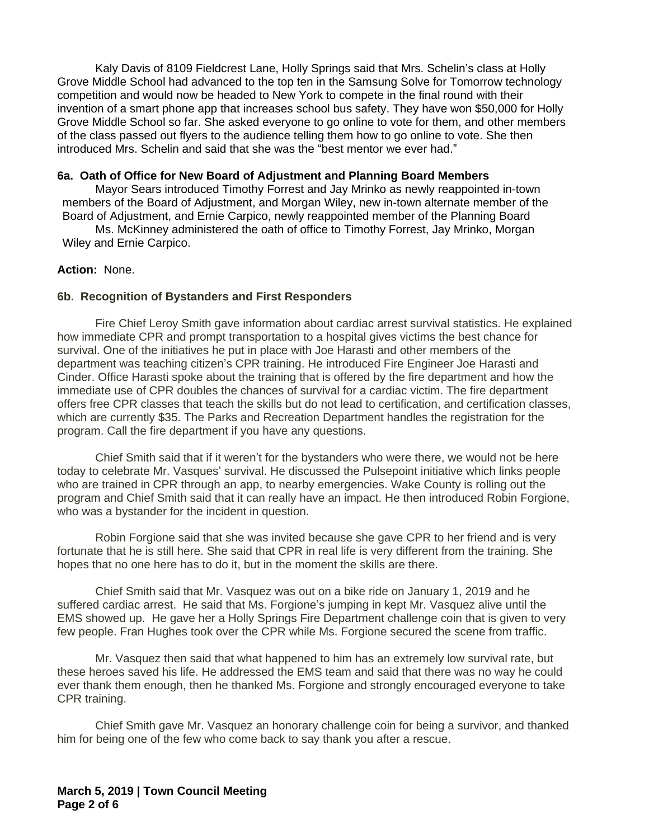Kaly Davis of 8109 Fieldcrest Lane, Holly Springs said that Mrs. Schelin's class at Holly Grove Middle School had advanced to the top ten in the Samsung Solve for Tomorrow technology competition and would now be headed to New York to compete in the final round with their invention of a smart phone app that increases school bus safety. They have won \$50,000 for Holly Grove Middle School so far. She asked everyone to go online to vote for them, and other members of the class passed out flyers to the audience telling them how to go online to vote. She then introduced Mrs. Schelin and said that she was the "best mentor we ever had."

#### **6a. Oath of Office for New Board of Adjustment and Planning Board Members**

Mayor Sears introduced Timothy Forrest and Jay Mrinko as newly reappointed in-town members of the Board of Adjustment, and Morgan Wiley, new in-town alternate member of the Board of Adjustment, and Ernie Carpico, newly reappointed member of the Planning Board

Ms. McKinney administered the oath of office to Timothy Forrest, Jay Mrinko, Morgan Wiley and Ernie Carpico.

## **Action:** None.

## **6b. Recognition of Bystanders and First Responders**

Fire Chief Leroy Smith gave information about cardiac arrest survival statistics. He explained how immediate CPR and prompt transportation to a hospital gives victims the best chance for survival. One of the initiatives he put in place with Joe Harasti and other members of the department was teaching citizen's CPR training. He introduced Fire Engineer Joe Harasti and Cinder. Office Harasti spoke about the training that is offered by the fire department and how the immediate use of CPR doubles the chances of survival for a cardiac victim. The fire department offers free CPR classes that teach the skills but do not lead to certification, and certification classes, which are currently \$35. The Parks and Recreation Department handles the registration for the program. Call the fire department if you have any questions.

Chief Smith said that if it weren't for the bystanders who were there, we would not be here today to celebrate Mr. Vasques' survival. He discussed the Pulsepoint initiative which links people who are trained in CPR through an app, to nearby emergencies. Wake County is rolling out the program and Chief Smith said that it can really have an impact. He then introduced Robin Forgione, who was a bystander for the incident in question.

Robin Forgione said that she was invited because she gave CPR to her friend and is very fortunate that he is still here. She said that CPR in real life is very different from the training. She hopes that no one here has to do it, but in the moment the skills are there.

Chief Smith said that Mr. Vasquez was out on a bike ride on January 1, 2019 and he suffered cardiac arrest. He said that Ms. Forgione's jumping in kept Mr. Vasquez alive until the EMS showed up. He gave her a Holly Springs Fire Department challenge coin that is given to very few people. Fran Hughes took over the CPR while Ms. Forgione secured the scene from traffic.

Mr. Vasquez then said that what happened to him has an extremely low survival rate, but these heroes saved his life. He addressed the EMS team and said that there was no way he could ever thank them enough, then he thanked Ms. Forgione and strongly encouraged everyone to take CPR training.

Chief Smith gave Mr. Vasquez an honorary challenge coin for being a survivor, and thanked him for being one of the few who come back to say thank you after a rescue.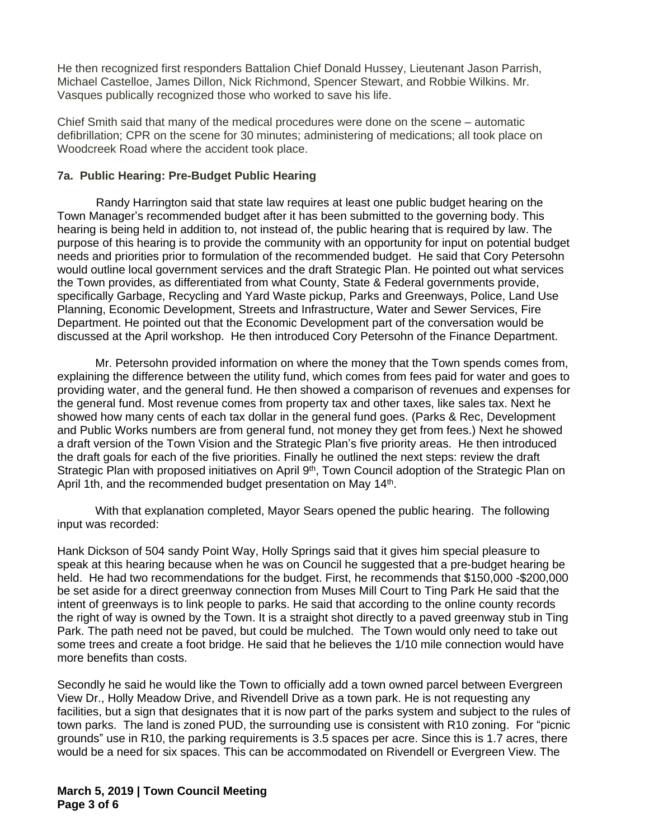He then recognized first responders Battalion Chief Donald Hussey, Lieutenant Jason Parrish, Michael Castelloe, James Dillon, Nick Richmond, Spencer Stewart, and Robbie Wilkins. Mr. Vasques publically recognized those who worked to save his life.

Chief Smith said that many of the medical procedures were done on the scene – automatic defibrillation; CPR on the scene for 30 minutes; administering of medications; all took place on Woodcreek Road where the accident took place.

# **7a. Public Hearing: Pre-Budget Public Hearing**

 Randy Harrington said that state law requires at least one public budget hearing on the Town Manager's recommended budget after it has been submitted to the governing body. This hearing is being held in addition to, not instead of, the public hearing that is required by law. The purpose of this hearing is to provide the community with an opportunity for input on potential budget needs and priorities prior to formulation of the recommended budget. He said that Cory Petersohn would outline local government services and the draft Strategic Plan. He pointed out what services the Town provides, as differentiated from what County, State & Federal governments provide, specifically Garbage, Recycling and Yard Waste pickup, Parks and Greenways, Police, Land Use Planning, Economic Development, Streets and Infrastructure, Water and Sewer Services, Fire Department. He pointed out that the Economic Development part of the conversation would be discussed at the April workshop. He then introduced Cory Petersohn of the Finance Department.

Mr. Petersohn provided information on where the money that the Town spends comes from, explaining the difference between the utility fund, which comes from fees paid for water and goes to providing water, and the general fund. He then showed a comparison of revenues and expenses for the general fund. Most revenue comes from property tax and other taxes, like sales tax. Next he showed how many cents of each tax dollar in the general fund goes. (Parks & Rec, Development and Public Works numbers are from general fund, not money they get from fees.) Next he showed a draft version of the Town Vision and the Strategic Plan's five priority areas. He then introduced the draft goals for each of the five priorities. Finally he outlined the next steps: review the draft Strategic Plan with proposed initiatives on April 9<sup>th</sup>, Town Council adoption of the Strategic Plan on April 1th, and the recommended budget presentation on May 14<sup>th</sup>.

With that explanation completed, Mayor Sears opened the public hearing. The following input was recorded:

Hank Dickson of 504 sandy Point Way, Holly Springs said that it gives him special pleasure to speak at this hearing because when he was on Council he suggested that a pre-budget hearing be held. He had two recommendations for the budget. First, he recommends that \$150,000 -\$200,000 be set aside for a direct greenway connection from Muses Mill Court to Ting Park He said that the intent of greenways is to link people to parks. He said that according to the online county records the right of way is owned by the Town. It is a straight shot directly to a paved greenway stub in Ting Park. The path need not be paved, but could be mulched. The Town would only need to take out some trees and create a foot bridge. He said that he believes the 1/10 mile connection would have more benefits than costs.

Secondly he said he would like the Town to officially add a town owned parcel between Evergreen View Dr., Holly Meadow Drive, and Rivendell Drive as a town park. He is not requesting any facilities, but a sign that designates that it is now part of the parks system and subject to the rules of town parks. The land is zoned PUD, the surrounding use is consistent with R10 zoning. For "picnic grounds" use in R10, the parking requirements is 3.5 spaces per acre. Since this is 1.7 acres, there would be a need for six spaces. This can be accommodated on Rivendell or Evergreen View. The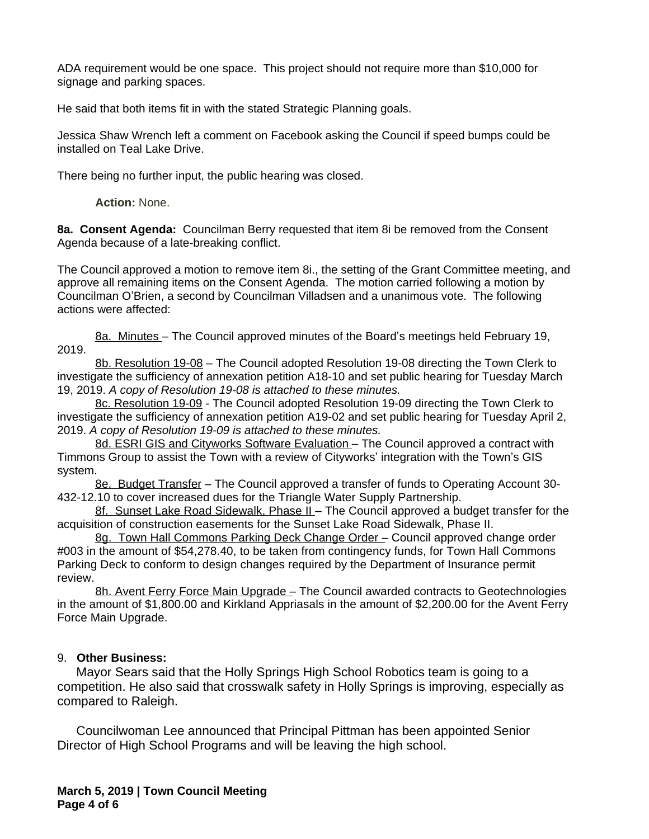ADA requirement would be one space. This project should not require more than \$10,000 for signage and parking spaces.

He said that both items fit in with the stated Strategic Planning goals.

Jessica Shaw Wrench left a comment on Facebook asking the Council if speed bumps could be installed on Teal Lake Drive.

There being no further input, the public hearing was closed.

**Action:** None.

**8a. Consent Agenda:** Councilman Berry requested that item 8i be removed from the Consent Agenda because of a late-breaking conflict.

The Council approved a motion to remove item 8i., the setting of the Grant Committee meeting, and approve all remaining items on the Consent Agenda. The motion carried following a motion by Councilman O'Brien, a second by Councilman Villadsen and a unanimous vote. The following actions were affected:

8a. Minutes – The Council approved minutes of the Board's meetings held February 19, 2019.

8b. Resolution 19-08 – The Council adopted Resolution 19-08 directing the Town Clerk to investigate the sufficiency of annexation petition A18-10 and set public hearing for Tuesday March 19, 2019. *A copy of Resolution 19-08 is attached to these minutes.*

8c. Resolution 19-09 - The Council adopted Resolution 19-09 directing the Town Clerk to investigate the sufficiency of annexation petition A19-02 and set public hearing for Tuesday April 2, 2019. *A copy of Resolution 19-09 is attached to these minutes.*

8d. ESRI GIS and Cityworks Software Evaluation – The Council approved a contract with Timmons Group to assist the Town with a review of Cityworks' integration with the Town's GIS system.

8e. Budget Transfer – The Council approved a transfer of funds to Operating Account 30- 432-12.10 to cover increased dues for the Triangle Water Supply Partnership.

8f. Sunset Lake Road Sidewalk, Phase II – The Council approved a budget transfer for the acquisition of construction easements for the Sunset Lake Road Sidewalk, Phase II.

8g. Town Hall Commons Parking Deck Change Order – Council approved change order #003 in the amount of \$54,278.40, to be taken from contingency funds, for Town Hall Commons Parking Deck to conform to design changes required by the Department of Insurance permit review.

8h. Avent Ferry Force Main Upgrade - The Council awarded contracts to Geotechnologies in the amount of \$1,800.00 and Kirkland Appriasals in the amount of \$2,200.00 for the Avent Ferry Force Main Upgrade.

# 9. **Other Business:**

Mayor Sears said that the Holly Springs High School Robotics team is going to a competition. He also said that crosswalk safety in Holly Springs is improving, especially as compared to Raleigh.

Councilwoman Lee announced that Principal Pittman has been appointed Senior Director of High School Programs and will be leaving the high school.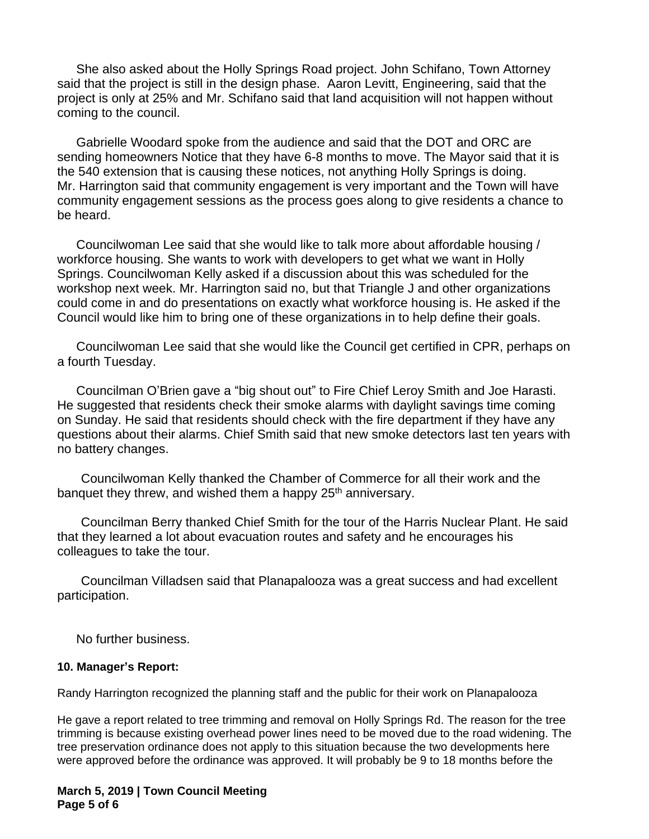She also asked about the Holly Springs Road project. John Schifano, Town Attorney said that the project is still in the design phase. Aaron Levitt, Engineering, said that the project is only at 25% and Mr. Schifano said that land acquisition will not happen without coming to the council.

Gabrielle Woodard spoke from the audience and said that the DOT and ORC are sending homeowners Notice that they have 6-8 months to move. The Mayor said that it is the 540 extension that is causing these notices, not anything Holly Springs is doing. Mr. Harrington said that community engagement is very important and the Town will have community engagement sessions as the process goes along to give residents a chance to be heard.

Councilwoman Lee said that she would like to talk more about affordable housing / workforce housing. She wants to work with developers to get what we want in Holly Springs. Councilwoman Kelly asked if a discussion about this was scheduled for the workshop next week. Mr. Harrington said no, but that Triangle J and other organizations could come in and do presentations on exactly what workforce housing is. He asked if the Council would like him to bring one of these organizations in to help define their goals.

Councilwoman Lee said that she would like the Council get certified in CPR, perhaps on a fourth Tuesday.

Councilman O'Brien gave a "big shout out" to Fire Chief Leroy Smith and Joe Harasti. He suggested that residents check their smoke alarms with daylight savings time coming on Sunday. He said that residents should check with the fire department if they have any questions about their alarms. Chief Smith said that new smoke detectors last ten years with no battery changes.

Councilwoman Kelly thanked the Chamber of Commerce for all their work and the banquet they threw, and wished them a happy 25<sup>th</sup> anniversary.

Councilman Berry thanked Chief Smith for the tour of the Harris Nuclear Plant. He said that they learned a lot about evacuation routes and safety and he encourages his colleagues to take the tour.

Councilman Villadsen said that Planapalooza was a great success and had excellent participation.

No further business.

#### **10. Manager's Report:**

Randy Harrington recognized the planning staff and the public for their work on Planapalooza

He gave a report related to tree trimming and removal on Holly Springs Rd. The reason for the tree trimming is because existing overhead power lines need to be moved due to the road widening. The tree preservation ordinance does not apply to this situation because the two developments here were approved before the ordinance was approved. It will probably be 9 to 18 months before the